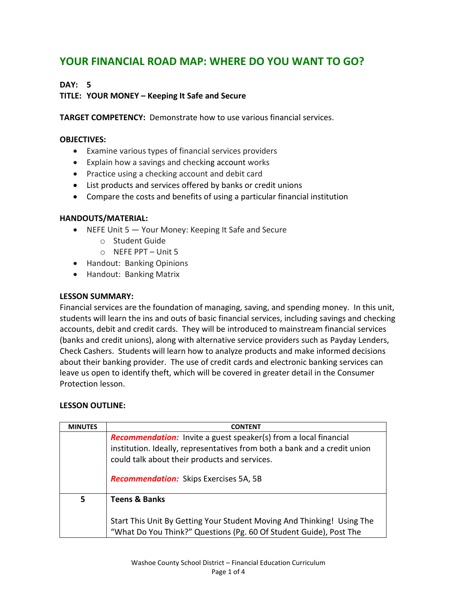# **YOUR FINANCIAL ROAD MAP: WHERE DO YOU WANT TO GO?**

## **DAY: 5**

# **TITLE: YOUR MONEY – Keeping It Safe and Secure**

**TARGET COMPETENCY:** Demonstrate how to use various financial services.

### **OBJECTIVES:**

- Examine various types of financial services providers
- Explain how a savings and checking account works
- Practice using a checking account and debit card
- List products and services offered by banks or credit unions
- Compare the costs and benefits of using a particular financial institution

## **HANDOUTS/MATERIAL:**

- NEFE Unit 5 Your Money: Keeping It Safe and Secure
	- o Student Guide
	- o NEFE PPT Unit 5
- Handout: Banking Opinions
- Handout: Banking Matrix

#### **LESSON SUMMARY:**

Financial services are the foundation of managing, saving, and spending money. In this unit, students will learn the ins and outs of basic financial services, including savings and checking accounts, debit and credit cards. They will be introduced to mainstream financial services (banks and credit unions), along with alternative service providers such as Payday Lenders, Check Cashers. Students will learn how to analyze products and make informed decisions about their banking provider. The use of credit cards and electronic banking services can leave us open to identify theft, which will be covered in greater detail in the Consumer Protection lesson.

#### **LESSON OUTLINE:**

| <b>MINUTES</b> | <b>CONTENT</b>                                                                                                                                                                                        |
|----------------|-------------------------------------------------------------------------------------------------------------------------------------------------------------------------------------------------------|
|                | <b>Recommendation:</b> Invite a guest speaker(s) from a local financial<br>institution. Ideally, representatives from both a bank and a credit union<br>could talk about their products and services. |
|                | <b>Recommendation:</b> Skips Exercises 5A, 5B                                                                                                                                                         |
| 5              | <b>Teens &amp; Banks</b>                                                                                                                                                                              |
|                | Start This Unit By Getting Your Student Moving And Thinking! Using The<br>"What Do You Think?" Questions (Pg. 60 Of Student Guide), Post The                                                          |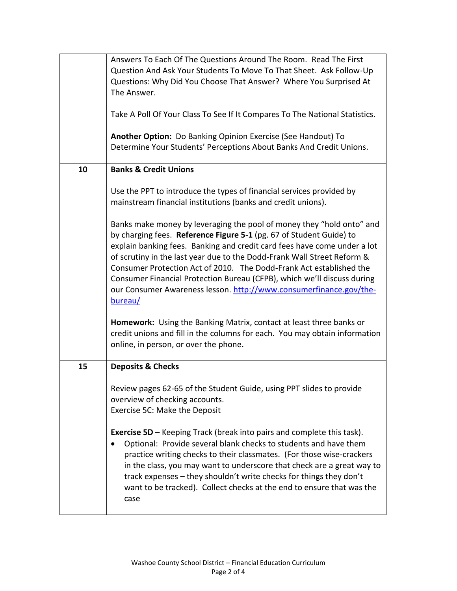|    | Answers To Each Of The Questions Around The Room. Read The First<br>Question And Ask Your Students To Move To That Sheet. Ask Follow-Up<br>Questions: Why Did You Choose That Answer? Where You Surprised At<br>The Answer.<br>Take A Poll Of Your Class To See If It Compares To The National Statistics.                                                                                                                                                                                                                                                                                                    |
|----|---------------------------------------------------------------------------------------------------------------------------------------------------------------------------------------------------------------------------------------------------------------------------------------------------------------------------------------------------------------------------------------------------------------------------------------------------------------------------------------------------------------------------------------------------------------------------------------------------------------|
|    | Another Option: Do Banking Opinion Exercise (See Handout) To<br>Determine Your Students' Perceptions About Banks And Credit Unions.                                                                                                                                                                                                                                                                                                                                                                                                                                                                           |
| 10 | <b>Banks &amp; Credit Unions</b>                                                                                                                                                                                                                                                                                                                                                                                                                                                                                                                                                                              |
|    | Use the PPT to introduce the types of financial services provided by<br>mainstream financial institutions (banks and credit unions).                                                                                                                                                                                                                                                                                                                                                                                                                                                                          |
|    | Banks make money by leveraging the pool of money they "hold onto" and<br>by charging fees. Reference Figure 5-1 (pg. 67 of Student Guide) to<br>explain banking fees. Banking and credit card fees have come under a lot<br>of scrutiny in the last year due to the Dodd-Frank Wall Street Reform &<br>Consumer Protection Act of 2010. The Dodd-Frank Act established the<br>Consumer Financial Protection Bureau (CFPB), which we'll discuss during<br>our Consumer Awareness lesson. http://www.consumerfinance.gov/the-<br>bureau/<br>Homework: Using the Banking Matrix, contact at least three banks or |
|    | credit unions and fill in the columns for each. You may obtain information<br>online, in person, or over the phone.                                                                                                                                                                                                                                                                                                                                                                                                                                                                                           |
| 15 | <b>Deposits &amp; Checks</b>                                                                                                                                                                                                                                                                                                                                                                                                                                                                                                                                                                                  |
|    | Review pages 62-65 of the Student Guide, using PPT slides to provide<br>overview of checking accounts.<br>Exercise 5C: Make the Deposit                                                                                                                                                                                                                                                                                                                                                                                                                                                                       |
|    | <b>Exercise 5D</b> – Keeping Track (break into pairs and complete this task).<br>Optional: Provide several blank checks to students and have them<br>practice writing checks to their classmates. (For those wise-crackers<br>in the class, you may want to underscore that check are a great way to<br>track expenses - they shouldn't write checks for things they don't<br>want to be tracked). Collect checks at the end to ensure that was the<br>case                                                                                                                                                   |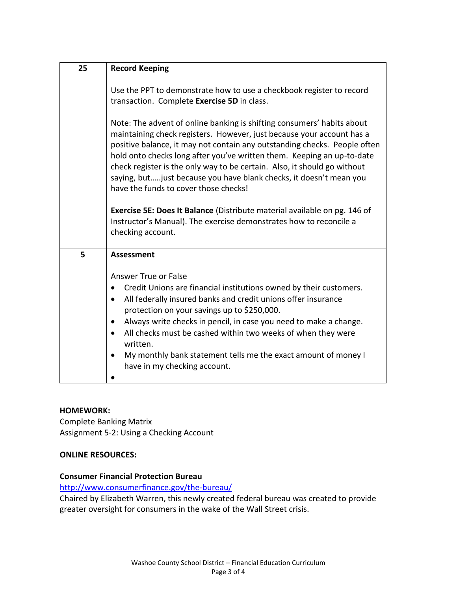| 25 | <b>Record Keeping</b>                                                                                                                                                                                                                                                                                                                                                                                                                                                                              |
|----|----------------------------------------------------------------------------------------------------------------------------------------------------------------------------------------------------------------------------------------------------------------------------------------------------------------------------------------------------------------------------------------------------------------------------------------------------------------------------------------------------|
|    |                                                                                                                                                                                                                                                                                                                                                                                                                                                                                                    |
|    | Use the PPT to demonstrate how to use a checkbook register to record                                                                                                                                                                                                                                                                                                                                                                                                                               |
|    | transaction. Complete Exercise 5D in class.                                                                                                                                                                                                                                                                                                                                                                                                                                                        |
|    | Note: The advent of online banking is shifting consumers' habits about<br>maintaining check registers. However, just because your account has a<br>positive balance, it may not contain any outstanding checks. People often<br>hold onto checks long after you've written them. Keeping an up-to-date<br>check register is the only way to be certain. Also, it should go without<br>saying, but just because you have blank checks, it doesn't mean you<br>have the funds to cover those checks! |
|    | Exercise 5E: Does It Balance (Distribute material available on pg. 146 of                                                                                                                                                                                                                                                                                                                                                                                                                          |
|    | Instructor's Manual). The exercise demonstrates how to reconcile a                                                                                                                                                                                                                                                                                                                                                                                                                                 |
|    | checking account.                                                                                                                                                                                                                                                                                                                                                                                                                                                                                  |
|    |                                                                                                                                                                                                                                                                                                                                                                                                                                                                                                    |
| 5  | <b>Assessment</b>                                                                                                                                                                                                                                                                                                                                                                                                                                                                                  |
|    |                                                                                                                                                                                                                                                                                                                                                                                                                                                                                                    |
|    | <b>Answer True or False</b>                                                                                                                                                                                                                                                                                                                                                                                                                                                                        |
|    | Credit Unions are financial institutions owned by their customers.<br>$\bullet$                                                                                                                                                                                                                                                                                                                                                                                                                    |
|    | All federally insured banks and credit unions offer insurance<br>$\bullet$                                                                                                                                                                                                                                                                                                                                                                                                                         |
|    | protection on your savings up to \$250,000.                                                                                                                                                                                                                                                                                                                                                                                                                                                        |
|    | Always write checks in pencil, in case you need to make a change.<br>$\bullet$                                                                                                                                                                                                                                                                                                                                                                                                                     |
|    | All checks must be cashed within two weeks of when they were<br>written.                                                                                                                                                                                                                                                                                                                                                                                                                           |
|    | My monthly bank statement tells me the exact amount of money I<br>$\bullet$<br>have in my checking account.                                                                                                                                                                                                                                                                                                                                                                                        |
|    |                                                                                                                                                                                                                                                                                                                                                                                                                                                                                                    |

#### **HOMEWORK:**

Complete Banking Matrix Assignment 5-2: Using a Checking Account

#### **ONLINE RESOURCES:**

## **Consumer Financial Protection Bureau**

<http://www.consumerfinance.gov/the-bureau/>

Chaired by Elizabeth Warren, this newly created federal bureau was created to provide greater oversight for consumers in the wake of the Wall Street crisis.